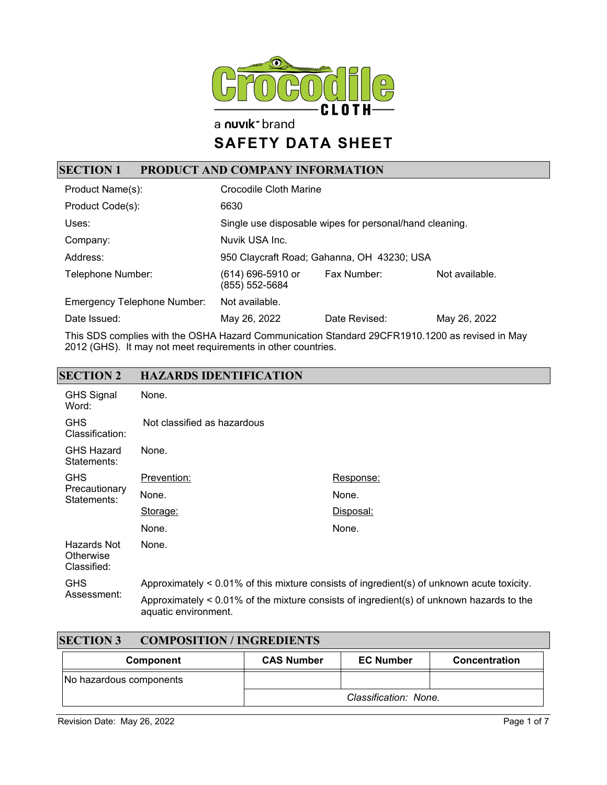

a nuvik<sup>+</sup> brand

# **SAFETY DATA SHEET**

## **SECTION 1 PRODUCT AND COMPANY INFORMATION**

| Product Name(s):                   | Crocodile Cloth Marine                                  |               |                |
|------------------------------------|---------------------------------------------------------|---------------|----------------|
| Product Code(s):                   | 6630                                                    |               |                |
| Uses:                              | Single use disposable wipes for personal/hand cleaning. |               |                |
| Company:                           | Nuvik USA Inc.                                          |               |                |
| Address:                           | 950 Claycraft Road; Gahanna, OH 43230; USA              |               |                |
| Telephone Number:                  | (614) 696-5910 or<br>(855) 552-5684                     | Fax Number:   | Not available. |
| <b>Emergency Telephone Number:</b> | Not available.                                          |               |                |
| Date Issued:                       | May 26, 2022                                            | Date Revised: | May 26, 2022   |

This SDS complies with the OSHA Hazard Communication Standard 29CFR1910.1200 as revised in May 2012 (GHS). It may not meet requirements in other countries.

#### **SECTION 2 HAZARDS IDENTIFICATION**

| <b>GHS Signal</b><br>Word:              | None.                                                                                      |                                                                                                |
|-----------------------------------------|--------------------------------------------------------------------------------------------|------------------------------------------------------------------------------------------------|
| <b>GHS</b><br>Classification:           | Not classified as hazardous                                                                |                                                                                                |
| <b>GHS Hazard</b><br>Statements:        | None.                                                                                      |                                                                                                |
| <b>GHS</b>                              | Prevention:                                                                                | Response:                                                                                      |
| Precautionary<br>Statements:            | None.                                                                                      | None.                                                                                          |
|                                         | Storage:                                                                                   | <u>Disposal:</u>                                                                               |
|                                         | None.                                                                                      | None.                                                                                          |
| Hazards Not<br>Otherwise<br>Classified: | None.                                                                                      |                                                                                                |
| <b>GHS</b><br>Assessment:               | Approximately < 0.01% of this mixture consists of ingredient(s) of unknown acute toxicity. |                                                                                                |
|                                         | aquatic environment.                                                                       | Approximately $\leq 0.01\%$ of the mixture consists of ingredient(s) of unknown hazards to the |

| <b>SECTION 3</b><br><b>COMPOSITION / INGREDIENTS</b> |                   |                       |               |
|------------------------------------------------------|-------------------|-----------------------|---------------|
| Component                                            | <b>CAS Number</b> | <b>EC Number</b>      | Concentration |
| No hazardous components                              |                   |                       |               |
|                                                      |                   | Classification: None. |               |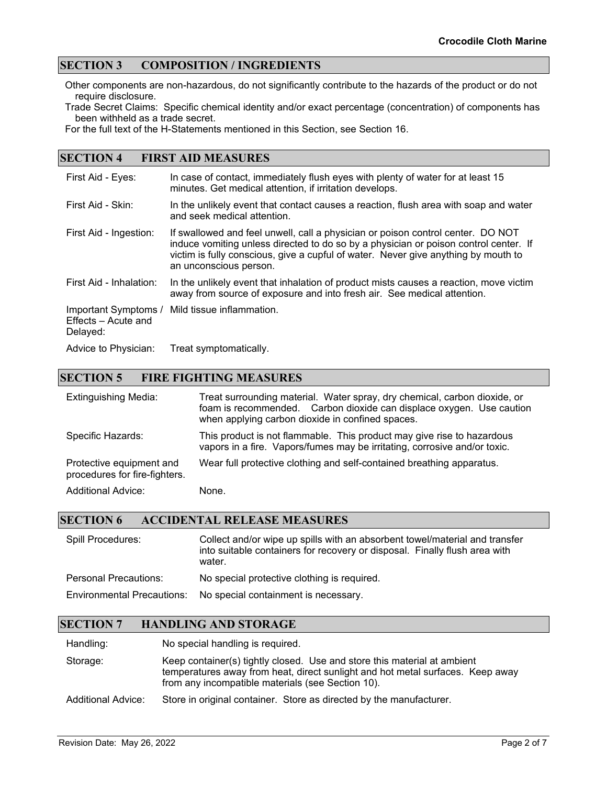#### **SECTION 3 COMPOSITION / INGREDIENTS**

Other components are non-hazardous, do not significantly contribute to the hazards of the product or do not require disclosure.

Trade Secret Claims: Specific chemical identity and/or exact percentage (concentration) of components has been withheld as a trade secret.

For the full text of the H-Statements mentioned in this Section, see Section 16.

#### **SECTION 4 FIRST AID MEASURES**

| First Aid - Eyes:                                       | In case of contact, immediately flush eyes with plenty of water for at least 15<br>minutes. Get medical attention, if irritation develops.                                                                                                                                              |
|---------------------------------------------------------|-----------------------------------------------------------------------------------------------------------------------------------------------------------------------------------------------------------------------------------------------------------------------------------------|
| First Aid - Skin:                                       | In the unlikely event that contact causes a reaction, flush area with soap and water<br>and seek medical attention.                                                                                                                                                                     |
| First Aid - Ingestion:                                  | If swallowed and feel unwell, call a physician or poison control center. DO NOT<br>induce vomiting unless directed to do so by a physician or poison control center. If<br>victim is fully conscious, give a cupful of water. Never give anything by mouth to<br>an unconscious person. |
| First Aid - Inhalation:                                 | In the unlikely event that inhalation of product mists causes a reaction, move victim<br>away from source of exposure and into fresh air. See medical attention.                                                                                                                        |
| Important Symptoms /<br>Effects - Acute and<br>Delayed: | Mild tissue inflammation.                                                                                                                                                                                                                                                               |
| Advice to Physician:                                    | Treat symptomatically.                                                                                                                                                                                                                                                                  |

#### **SECTION 5 FIRE FIGHTING MEASURES**

| <b>Extinguishing Media:</b>                               | Treat surrounding material. Water spray, dry chemical, carbon dioxide, or<br>foam is recommended. Carbon dioxide can displace oxygen. Use caution<br>when applying carbon dioxide in confined spaces. |
|-----------------------------------------------------------|-------------------------------------------------------------------------------------------------------------------------------------------------------------------------------------------------------|
| Specific Hazards:                                         | This product is not flammable. This product may give rise to hazardous<br>vapors in a fire. Vapors/fumes may be irritating, corrosive and/or toxic.                                                   |
| Protective equipment and<br>procedures for fire-fighters. | Wear full protective clothing and self-contained breathing apparatus.                                                                                                                                 |
| <b>Additional Advice:</b>                                 | None.                                                                                                                                                                                                 |

#### **SECTION 6 ACCIDENTAL RELEASE MEASURES**

| Spill Procedures:                 | Collect and/or wipe up spills with an absorbent towel/material and transfer<br>into suitable containers for recovery or disposal. Finally flush area with<br>water. |
|-----------------------------------|---------------------------------------------------------------------------------------------------------------------------------------------------------------------|
| <b>Personal Precautions:</b>      | No special protective clothing is required.                                                                                                                         |
| <b>Environmental Precautions:</b> | No special containment is necessary.                                                                                                                                |

#### **SECTION 7 HANDLING AND STORAGE**

Handling: No special handling is required.

Storage: Keep container(s) tightly closed. Use and store this material at ambient temperatures away from heat, direct sunlight and hot metal surfaces. Keep away from any incompatible materials (see Section 10).

Additional Advice: Store in original container. Store as directed by the manufacturer.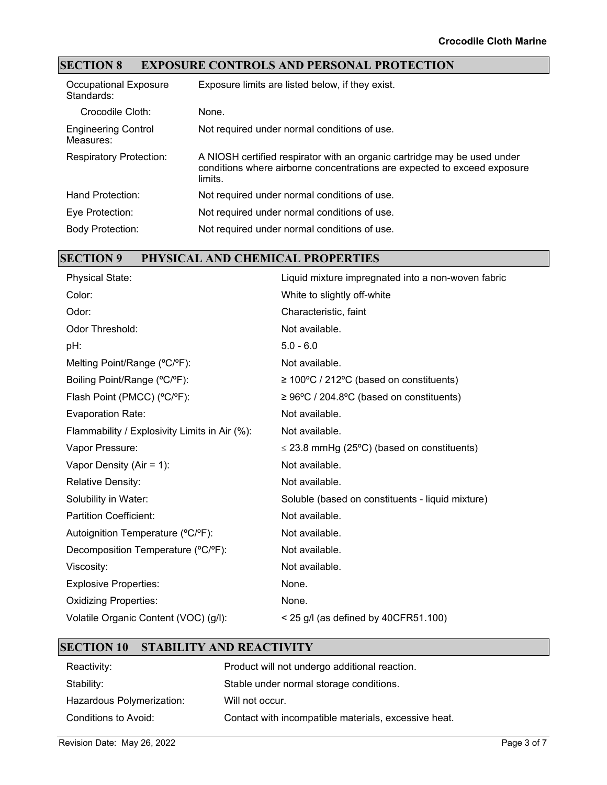## **SECTION 8 EXPOSURE CONTROLS AND PERSONAL PROTECTION**

| <b>Occupational Exposure</b><br>Standards: | Exposure limits are listed below, if they exist.                                                                                                                |
|--------------------------------------------|-----------------------------------------------------------------------------------------------------------------------------------------------------------------|
| Crocodile Cloth:                           | None.                                                                                                                                                           |
| <b>Engineering Control</b><br>Measures:    | Not required under normal conditions of use.                                                                                                                    |
| <b>Respiratory Protection:</b>             | A NIOSH certified respirator with an organic cartridge may be used under<br>conditions where airborne concentrations are expected to exceed exposure<br>limits. |
| Hand Protection:                           | Not required under normal conditions of use.                                                                                                                    |
| Eye Protection:                            | Not required under normal conditions of use.                                                                                                                    |
| <b>Body Protection:</b>                    | Not required under normal conditions of use.                                                                                                                    |

## **SECTION 9 PHYSICAL AND CHEMICAL PROPERTIES**

| <b>Physical State:</b>                        | Liquid mixture impregnated into a non-woven fabric    |
|-----------------------------------------------|-------------------------------------------------------|
| Color:                                        | White to slightly off-white                           |
| Odor:                                         | Characteristic, faint                                 |
| Odor Threshold:                               | Not available.                                        |
| pH:                                           | $5.0 - 6.0$                                           |
| Melting Point/Range (°C/°F):                  | Not available.                                        |
| Boiling Point/Range (°C/°F):                  | $\geq 100^{\circ}$ C / 212°C (based on constituents)  |
| Flash Point (PMCC) (°C/°F):                   | $\geq 96^{\circ}$ C / 204.8°C (based on constituents) |
| <b>Evaporation Rate:</b>                      | Not available.                                        |
| Flammability / Explosivity Limits in Air (%): | Not available.                                        |
| Vapor Pressure:                               | $\leq$ 23.8 mmHg (25°C) (based on constituents)       |
| Vapor Density (Air = $1$ ):                   | Not available.                                        |
| <b>Relative Density:</b>                      | Not available.                                        |
| Solubility in Water:                          | Soluble (based on constituents - liquid mixture)      |
| <b>Partition Coefficient:</b>                 | Not available.                                        |
| Autoignition Temperature (°C/°F):             | Not available.                                        |
| Decomposition Temperature (°C/°F):            | Not available.                                        |
| Viscosity:                                    | Not available.                                        |
| <b>Explosive Properties:</b>                  | None.                                                 |
| <b>Oxidizing Properties:</b>                  | None.                                                 |
| Volatile Organic Content (VOC) (g/l):         | $<$ 25 g/l (as defined by 40CFR51.100)                |
|                                               |                                                       |

#### **SECTION 10 STABILITY AND REACTIVITY**

| Reactivity:                 | Product will not undergo additional reaction.        |
|-----------------------------|------------------------------------------------------|
| Stability:                  | Stable under normal storage conditions.              |
| Hazardous Polymerization:   | Will not occur.                                      |
| <b>Conditions to Avoid:</b> | Contact with incompatible materials, excessive heat. |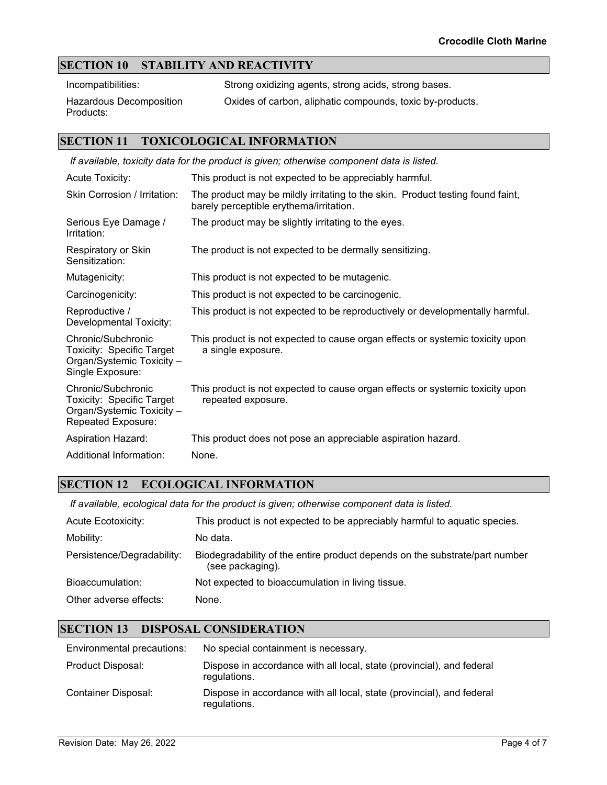### **SECTION 10 STABILITY AND REACTIVITY**

Incompatibilities: Strong oxidizing agents, strong acids, strong bases.

Hazardous Decomposition Products:

Oxides of carbon, aliphatic compounds, toxic by-products.

### **SECTION 11 TOXICOLOGICAL INFORMATION**

| If available, toxicity data for the product is given; otherwise component data is listed.          |                                                                                                                           |  |  |
|----------------------------------------------------------------------------------------------------|---------------------------------------------------------------------------------------------------------------------------|--|--|
| <b>Acute Toxicity:</b>                                                                             | This product is not expected to be appreciably harmful.                                                                   |  |  |
| Skin Corrosion / Irritation:                                                                       | The product may be mildly irritating to the skin. Product testing found faint,<br>barely perceptible erythema/irritation. |  |  |
| Serious Eye Damage /<br>Irritation:                                                                | The product may be slightly irritating to the eyes.                                                                       |  |  |
| Respiratory or Skin<br>Sensitization:                                                              | The product is not expected to be dermally sensitizing.                                                                   |  |  |
| Mutagenicity:                                                                                      | This product is not expected to be mutagenic.                                                                             |  |  |
| Carcinogenicity:                                                                                   | This product is not expected to be carcinogenic.                                                                          |  |  |
| Reproductive /<br>Developmental Toxicity:                                                          | This product is not expected to be reproductively or developmentally harmful.                                             |  |  |
| Chronic/Subchronic<br>Toxicity: Specific Target<br>Organ/Systemic Toxicity -<br>Single Exposure:   | This product is not expected to cause organ effects or systemic toxicity upon<br>a single exposure.                       |  |  |
| Chronic/Subchronic<br>Toxicity: Specific Target<br>Organ/Systemic Toxicity -<br>Repeated Exposure: | This product is not expected to cause organ effects or systemic toxicity upon<br>repeated exposure.                       |  |  |
| <b>Aspiration Hazard:</b>                                                                          | This product does not pose an appreciable aspiration hazard.                                                              |  |  |
| Additional Information:                                                                            | None.                                                                                                                     |  |  |

#### **SECTION 12 ECOLOGICAL INFORMATION**

*If available, ecological data for the product is given; otherwise component data is listed.*

| <b>Acute Ecotoxicity:</b>  | This product is not expected to be appreciably harmful to aquatic species.                      |
|----------------------------|-------------------------------------------------------------------------------------------------|
| Mobility:                  | No data.                                                                                        |
| Persistence/Degradability: | Biodegradability of the entire product depends on the substrate/part number<br>(see packaging). |
| Bioaccumulation:           | Not expected to bioaccumulation in living tissue.                                               |
| Other adverse effects:     | None.                                                                                           |

### **SECTION 13 DISPOSAL CONSIDERATION**

| Environmental precautions: | No special containment is necessary.                                                  |
|----------------------------|---------------------------------------------------------------------------------------|
| Product Disposal:          | Dispose in accordance with all local, state (provincial), and federal<br>regulations. |
| Container Disposal:        | Dispose in accordance with all local, state (provincial), and federal<br>regulations. |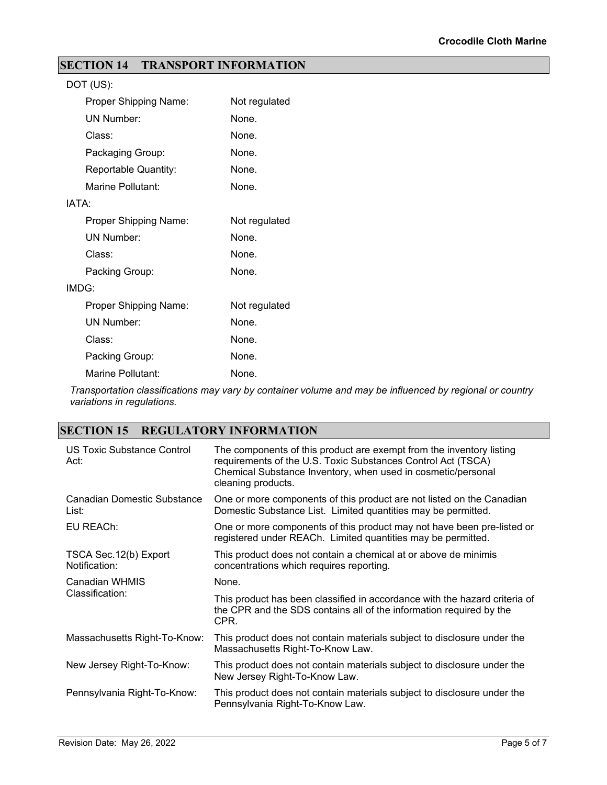## **SECTION 14 TRANSPORT INFORMATION**

| DOT (US):             |               |
|-----------------------|---------------|
| Proper Shipping Name: | Not regulated |
| <b>UN Number:</b>     | None.         |
| Class:                | None.         |
| Packaging Group:      | None.         |
| Reportable Quantity:  | None.         |
| Marine Pollutant:     | None.         |
| IATA:                 |               |
| Proper Shipping Name: | Not regulated |
| <b>UN Number:</b>     | None.         |
| Class:                | None.         |
| Packing Group:        | None.         |
| IMDG:                 |               |
| Proper Shipping Name: | Not regulated |
| <b>UN Number:</b>     | None.         |
| Class:                | None.         |
| Packing Group:        | None.         |
| Marine Pollutant:     | None.         |

*Transportation classifications may vary by container volume and may be influenced by regional or country variations in regulations.*

## **SECTION 15 REGULATORY INFORMATION**

| US Toxic Substance Control<br>Act:      | The components of this product are exempt from the inventory listing<br>requirements of the U.S. Toxic Substances Control Act (TSCA)<br>Chemical Substance Inventory, when used in cosmetic/personal<br>cleaning products. |
|-----------------------------------------|----------------------------------------------------------------------------------------------------------------------------------------------------------------------------------------------------------------------------|
| Canadian Domestic Substance<br>List:    | One or more components of this product are not listed on the Canadian<br>Domestic Substance List. Limited quantities may be permitted.                                                                                     |
| EU REACh:                               | One or more components of this product may not have been pre-listed or<br>registered under REACh. Limited quantities may be permitted.                                                                                     |
| TSCA Sec. 12(b) Export<br>Notification: | This product does not contain a chemical at or above de minimis<br>concentrations which requires reporting.                                                                                                                |
| Canadian WHMIS<br>Classification:       | None.                                                                                                                                                                                                                      |
|                                         | This product has been classified in accordance with the hazard criteria of<br>the CPR and the SDS contains all of the information required by the<br>CPR.                                                                  |
| Massachusetts Right-To-Know:            | This product does not contain materials subject to disclosure under the<br>Massachusetts Right-To-Know Law.                                                                                                                |
| New Jersey Right-To-Know:               | This product does not contain materials subject to disclosure under the<br>New Jersey Right-To-Know Law.                                                                                                                   |
| Pennsylvania Right-To-Know:             | This product does not contain materials subject to disclosure under the<br>Pennsylvania Right-To-Know Law.                                                                                                                 |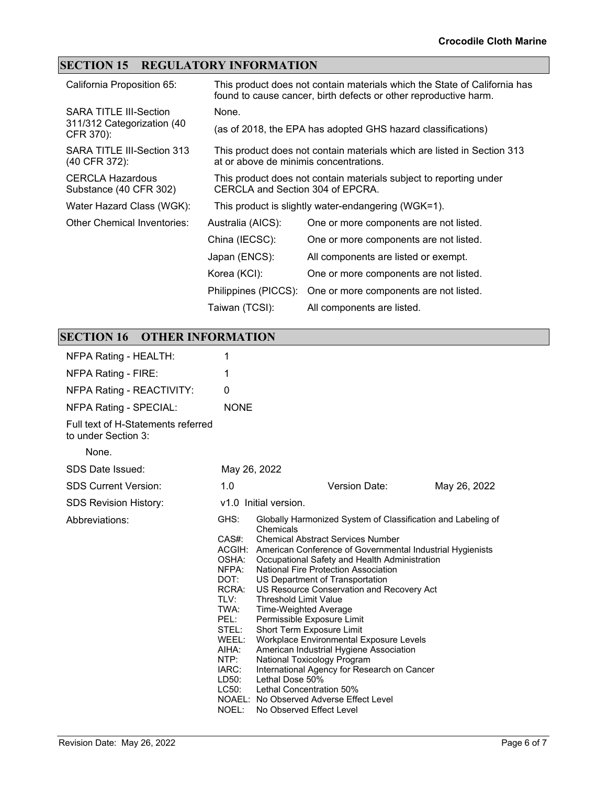## **SECTION 15 REGULATORY INFORMATION**

| California Proposition 65:                                               |                                                                                                                   | This product does not contain materials which the State of California has<br>found to cause cancer, birth defects or other reproductive harm. |
|--------------------------------------------------------------------------|-------------------------------------------------------------------------------------------------------------------|-----------------------------------------------------------------------------------------------------------------------------------------------|
| <b>SARA TITLE III-Section</b><br>311/312 Categorization (40<br>CFR 370): | None.                                                                                                             |                                                                                                                                               |
|                                                                          |                                                                                                                   | (as of 2018, the EPA has adopted GHS hazard classifications)                                                                                  |
| SARA TITLE III-Section 313<br>(40 CFR 372):                              | This product does not contain materials which are listed in Section 313<br>at or above de minimis concentrations. |                                                                                                                                               |
| <b>CERCLA Hazardous</b><br>Substance (40 CFR 302)                        | This product does not contain materials subject to reporting under<br>CERCLA and Section 304 of EPCRA.            |                                                                                                                                               |
| Water Hazard Class (WGK):                                                |                                                                                                                   | This product is slightly water-endangering (WGK=1).                                                                                           |
| Other Chemical Inventories:                                              | Australia (AICS):                                                                                                 | One or more components are not listed.                                                                                                        |
|                                                                          | China (IECSC):                                                                                                    | One or more components are not listed.                                                                                                        |
|                                                                          | Japan (ENCS):                                                                                                     | All components are listed or exempt.                                                                                                          |
|                                                                          | Korea (KCI):                                                                                                      | One or more components are not listed.                                                                                                        |
|                                                                          | Philippines (PICCS):                                                                                              | One or more components are not listed.                                                                                                        |
|                                                                          | Taiwan (TCSI):                                                                                                    | All components are listed.                                                                                                                    |

## **SECTION 16 OTHER INFORMATION**

| NFPA Rating - HEALTH:                                     | 1                                                                                                                                                  |                                                                                                                                                                                                                                                                                                                                                                                                                                                                                                                                                                                                                                                                                                                                                                                         |              |
|-----------------------------------------------------------|----------------------------------------------------------------------------------------------------------------------------------------------------|-----------------------------------------------------------------------------------------------------------------------------------------------------------------------------------------------------------------------------------------------------------------------------------------------------------------------------------------------------------------------------------------------------------------------------------------------------------------------------------------------------------------------------------------------------------------------------------------------------------------------------------------------------------------------------------------------------------------------------------------------------------------------------------------|--------------|
| NFPA Rating - FIRE:                                       | 1                                                                                                                                                  |                                                                                                                                                                                                                                                                                                                                                                                                                                                                                                                                                                                                                                                                                                                                                                                         |              |
| NFPA Rating - REACTIVITY:                                 | 0                                                                                                                                                  |                                                                                                                                                                                                                                                                                                                                                                                                                                                                                                                                                                                                                                                                                                                                                                                         |              |
| <b>NFPA Rating - SPECIAL:</b>                             | <b>NONE</b>                                                                                                                                        |                                                                                                                                                                                                                                                                                                                                                                                                                                                                                                                                                                                                                                                                                                                                                                                         |              |
| Full text of H-Statements referred<br>to under Section 3: |                                                                                                                                                    |                                                                                                                                                                                                                                                                                                                                                                                                                                                                                                                                                                                                                                                                                                                                                                                         |              |
| None.                                                     |                                                                                                                                                    |                                                                                                                                                                                                                                                                                                                                                                                                                                                                                                                                                                                                                                                                                                                                                                                         |              |
| SDS Date Issued:                                          | May 26, 2022                                                                                                                                       |                                                                                                                                                                                                                                                                                                                                                                                                                                                                                                                                                                                                                                                                                                                                                                                         |              |
| <b>SDS Current Version:</b>                               | 1.0                                                                                                                                                | Version Date:                                                                                                                                                                                                                                                                                                                                                                                                                                                                                                                                                                                                                                                                                                                                                                           | May 26, 2022 |
| <b>SDS Revision History:</b>                              | v1.0 Initial version.                                                                                                                              |                                                                                                                                                                                                                                                                                                                                                                                                                                                                                                                                                                                                                                                                                                                                                                                         |              |
| Abbreviations:                                            | GHS:<br>$CAS#$ :<br>OSHA:<br>NFPA:<br>DOT:<br>RCRA:<br>TLV:<br>TWA:<br>PEL:<br>STEL:<br>WEEL:<br>AIHA:<br>NTP:<br>IARC:<br>LD50:<br>LC50:<br>NOEL: | Globally Harmonized System of Classification and Labeling of<br>Chemicals<br><b>Chemical Abstract Services Number</b><br>ACGIH: American Conference of Governmental Industrial Hygienists<br>Occupational Safety and Health Administration<br>National Fire Protection Association<br>US Department of Transportation<br>US Resource Conservation and Recovery Act<br><b>Threshold Limit Value</b><br><b>Time-Weighted Average</b><br>Permissible Exposure Limit<br>Short Term Exposure Limit<br>Workplace Environmental Exposure Levels<br>American Industrial Hygiene Association<br>National Toxicology Program<br>International Agency for Research on Cancer<br>Lethal Dose 50%<br>Lethal Concentration 50%<br>NOAEL: No Observed Adverse Effect Level<br>No Observed Effect Level |              |